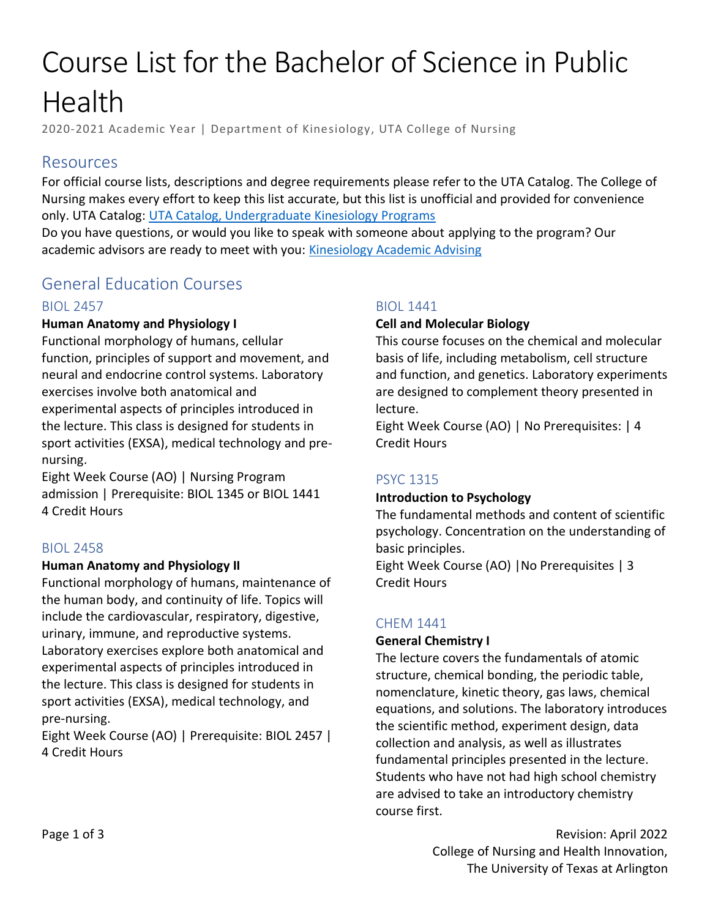# Course List for the Bachelor of Science in Public Health

2020-2021 Academic Year | Department of Kinesiology, UTA College of Nursing

# Resources

For official course lists, descriptions and degree requirements please refer to the UTA Catalog. The College of Nursing makes every effort to keep this list accurate, but this list is unofficial and provided for convenience only. UTA Catalog: [UTA Catalog, Undergraduate Kinesiology Programs](https://catalog.uta.edu/nursing/kinesiology/undergraduate/)

Do you have questions, or would you like to speak with someone about applying to the program? Our academic advisors are ready to meet with you: [Kinesiology Academic Advising](https://www.uta.edu/conhi/students/advising/kinesiology.php)

# General Education Courses

# BIOL 2457

# **Human Anatomy and Physiology I**

Functional morphology of humans, cellular function, principles of support and movement, and neural and endocrine control systems. Laboratory exercises involve both anatomical and experimental aspects of principles introduced in the lecture. This class is designed for students in sport activities (EXSA), medical technology and prenursing.

Eight Week Course (AO) | Nursing Program admission | Prerequisite: BIOL 1345 or BIOL 1441 4 Credit Hours

# BIOL 2458

#### **Human Anatomy and Physiology II**

Functional morphology of humans, maintenance of the human body, and continuity of life. Topics will include the cardiovascular, respiratory, digestive, urinary, immune, and reproductive systems. Laboratory exercises explore both anatomical and experimental aspects of principles introduced in the lecture. This class is designed for students in sport activities (EXSA), medical technology, and pre-nursing.

Eight Week Course (AO) | Prerequisite: BIOL 2457 | 4 Credit Hours

# BIOL 1441

#### **Cell and Molecular Biology**

This course focuses on the chemical and molecular basis of life, including metabolism, cell structure and function, and genetics. Laboratory experiments are designed to complement theory presented in lecture.

Eight Week Course (AO) | No Prerequisites: | 4 Credit Hours

# PSYC 1315

# **Introduction to Psychology**

The fundamental methods and content of scientific psychology. Concentration on the understanding of basic principles.

Eight Week Course (AO) |No Prerequisites | 3 Credit Hours

# CHEM 1441

#### **General Chemistry I**

The lecture covers the fundamentals of atomic structure, chemical bonding, the periodic table, nomenclature, kinetic theory, gas laws, chemical equations, and solutions. The laboratory introduces the scientific method, experiment design, data collection and analysis, as well as illustrates fundamental principles presented in the lecture. Students who have not had high school chemistry are advised to take an introductory chemistry course first.

> Revision: April 2022 College of Nursing and Health Innovation, The University of Texas at Arlington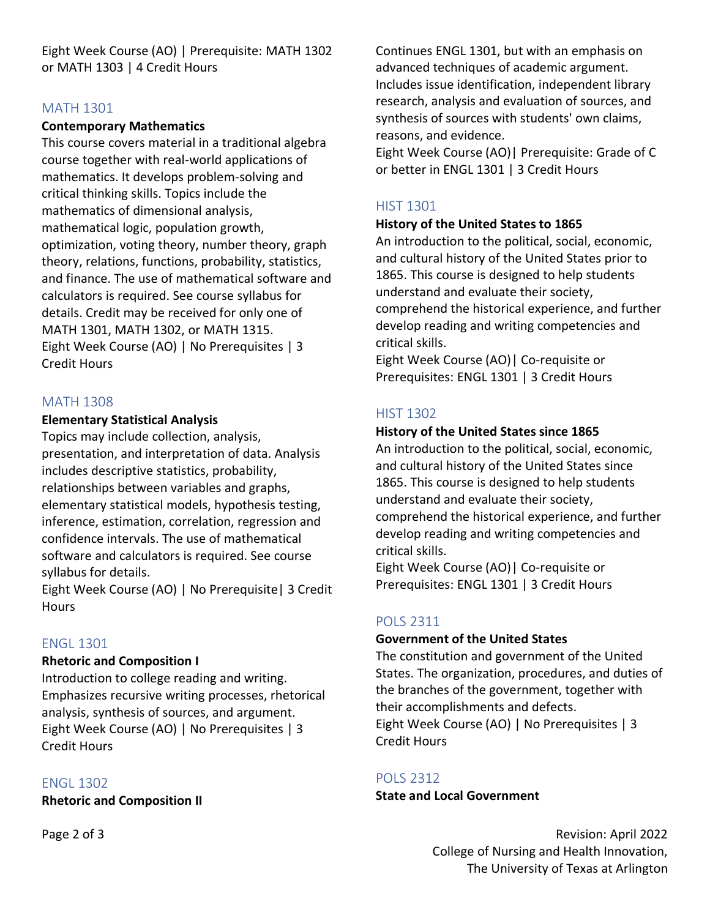Eight Week Course (AO) | Prerequisite: MATH 1302 or MATH 1303 | 4 Credit Hours

#### MATH 1301

#### **Contemporary Mathematics**

This course covers material in a traditional algebra course together with real-world applications of mathematics. It develops problem-solving and critical thinking skills. Topics include the mathematics of dimensional analysis, mathematical logic, population growth, optimization, voting theory, number theory, graph theory, relations, functions, probability, statistics, and finance. The use of mathematical software and calculators is required. See course syllabus for details. Credit may be received for only one of MATH 1301, MATH 1302, or MATH 1315. Eight Week Course (AO) | No Prerequisites | 3 Credit Hours

#### MATH 1308

#### **Elementary Statistical Analysis**

Topics may include collection, analysis, presentation, and interpretation of data. Analysis includes descriptive statistics, probability, relationships between variables and graphs, elementary statistical models, hypothesis testing, inference, estimation, correlation, regression and confidence intervals. The use of mathematical software and calculators is required. See course syllabus for details.

Eight Week Course (AO) | No Prerequisite| 3 Credit **Hours** 

# ENGL 1301

#### **Rhetoric and Composition I**

Introduction to college reading and writing. Emphasizes recursive writing processes, rhetorical analysis, synthesis of sources, and argument. Eight Week Course (AO) | No Prerequisites | 3 Credit Hours

# ENGL 1302

**Rhetoric and Composition II**

Continues ENGL 1301, but with an emphasis on advanced techniques of academic argument. Includes issue identification, independent library research, analysis and evaluation of sources, and synthesis of sources with students' own claims, reasons, and evidence.

Eight Week Course (AO)| Prerequisite: Grade of C or better in ENGL 1301 | 3 Credit Hours

# HIST 1301

#### **History of the United States to 1865**

An introduction to the political, social, economic, and cultural history of the United States prior to 1865. This course is designed to help students understand and evaluate their society, comprehend the historical experience, and further develop reading and writing competencies and critical skills.

Eight Week Course (AO)| Co-requisite or Prerequisites: ENGL 1301 | 3 Credit Hours

# HIST 1302

#### **History of the United States since 1865**

An introduction to the political, social, economic, and cultural history of the United States since 1865. This course is designed to help students understand and evaluate their society, comprehend the historical experience, and further develop reading and writing competencies and critical skills.

Eight Week Course (AO)| Co-requisite or Prerequisites: ENGL 1301 | 3 Credit Hours

# POLS 2311

#### **Government of the United States**

The constitution and government of the United States. The organization, procedures, and duties of the branches of the government, together with their accomplishments and defects. Eight Week Course (AO) | No Prerequisites | 3 Credit Hours

# POLS 2312

**State and Local Government**

Revision: April 2022 College of Nursing and Health Innovation, The University of Texas at Arlington

Page 2 of 3